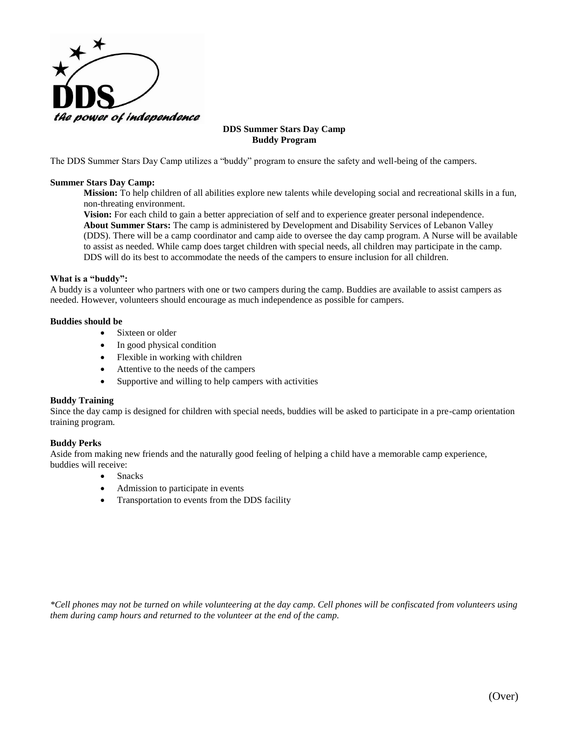

### **DDS Summer Stars Day Camp Buddy Program**

The DDS Summer Stars Day Camp utilizes a "buddy" program to ensure the safety and well-being of the campers.

### **Summer Stars Day Camp:**

**Mission:** To help children of all abilities explore new talents while developing social and recreational skills in a fun, non-threating environment.

**Vision:** For each child to gain a better appreciation of self and to experience greater personal independence. **About Summer Stars:** The camp is administered by Development and Disability Services of Lebanon Valley (DDS). There will be a camp coordinator and camp aide to oversee the day camp program. A Nurse will be available to assist as needed. While camp does target children with special needs, all children may participate in the camp. DDS will do its best to accommodate the needs of the campers to ensure inclusion for all children.

### **What is a "buddy":**

A buddy is a volunteer who partners with one or two campers during the camp. Buddies are available to assist campers as needed. However, volunteers should encourage as much independence as possible for campers.

### **Buddies should be**

- Sixteen or older
- In good physical condition
- Flexible in working with children
- Attentive to the needs of the campers
- Supportive and willing to help campers with activities

### **Buddy Training**

Since the day camp is designed for children with special needs, buddies will be asked to participate in a pre-camp orientation training program.

### **Buddy Perks**

Aside from making new friends and the naturally good feeling of helping a child have a memorable camp experience, buddies will receive:

- Snacks
- Admission to participate in events
- Transportation to events from the DDS facility

*\*Cell phones may not be turned on while volunteering at the day camp. Cell phones will be confiscated from volunteers using them during camp hours and returned to the volunteer at the end of the camp.*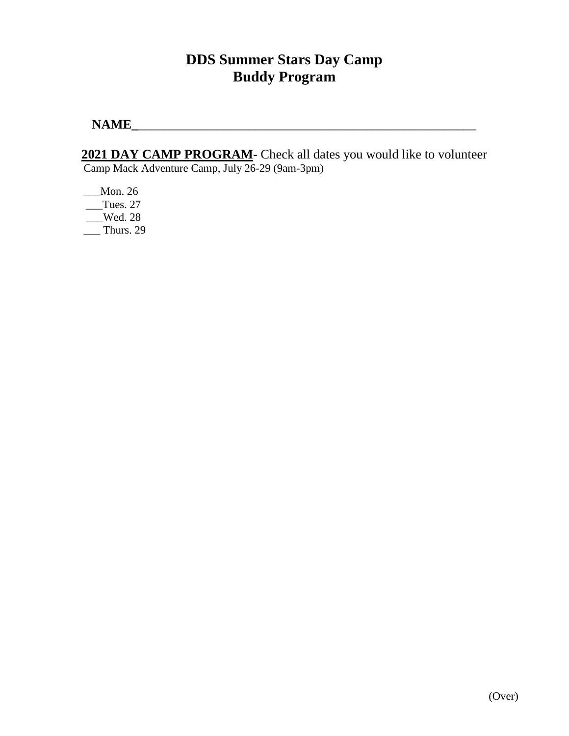# **DDS Summer Stars Day Camp Buddy Program**

**NAME\_**\_\_\_\_\_\_\_\_\_\_\_\_\_\_\_\_\_\_\_\_\_\_\_\_\_\_\_\_\_\_\_\_\_\_\_\_\_\_\_\_\_\_\_\_\_\_\_\_\_\_\_\_

**2021 DAY CAMP PROGRAM**- Check all dates you would like to volunteer Camp Mack Adventure Camp, July 26-29 (9am-3pm)

\_\_\_Mon. 26  $Tues. 27$  $\sqrt{\phantom{0}}$  Wed. 28  $\frac{1}{2}$  Thurs. 29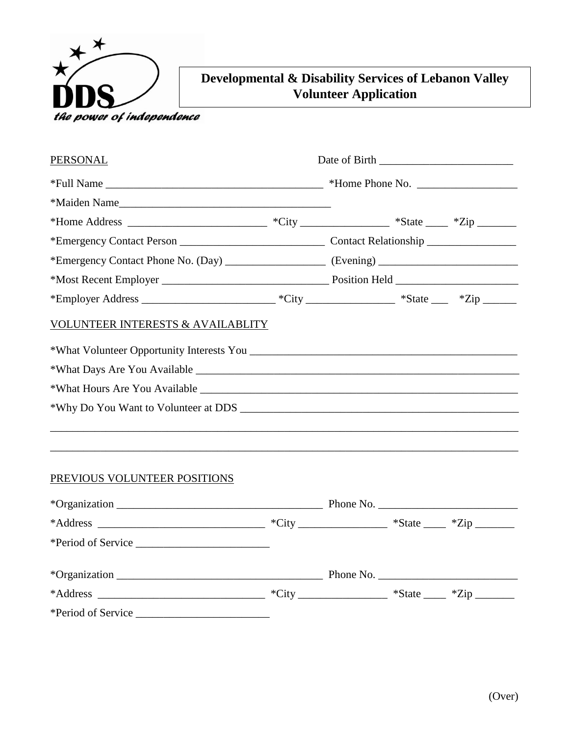

# **Developmental & Disability Services of Lebanon Valley Volunteer Application**

| <u>PERSONAL</u>                                                                                            |  |  |
|------------------------------------------------------------------------------------------------------------|--|--|
|                                                                                                            |  |  |
|                                                                                                            |  |  |
|                                                                                                            |  |  |
|                                                                                                            |  |  |
|                                                                                                            |  |  |
|                                                                                                            |  |  |
| *Employer Address _________________________________*City ______________________*State ______ *Zip ________ |  |  |
| <b>VOLUNTEER INTERESTS &amp; AVAILABLITY</b>                                                               |  |  |
|                                                                                                            |  |  |
|                                                                                                            |  |  |
|                                                                                                            |  |  |
|                                                                                                            |  |  |
|                                                                                                            |  |  |

# PREVIOUS VOLUNTEER POSITIONS

|  | Phone No. |  |
|--|-----------|--|
|  |           |  |
|  |           |  |

\_\_\_\_\_\_\_\_\_\_\_\_\_\_\_\_\_\_\_\_\_\_\_\_\_\_\_\_\_\_\_\_\_\_\_\_\_\_\_\_\_\_\_\_\_\_\_\_\_\_\_\_\_\_\_\_\_\_\_\_\_\_\_\_\_\_\_\_\_\_\_\_\_\_\_\_\_\_\_\_\_\_\_\_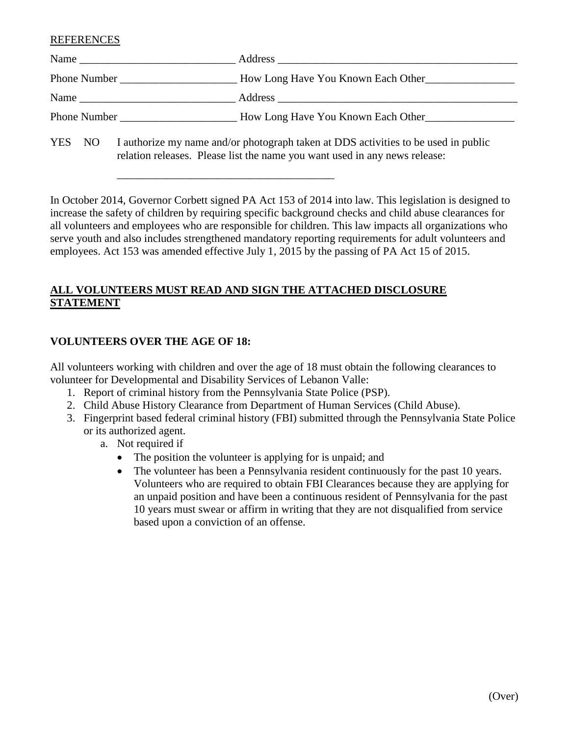REFERENCES

| Name                |                                                                                                                                   |
|---------------------|-----------------------------------------------------------------------------------------------------------------------------------|
|                     | How Long Have You Known Each Other                                                                                                |
|                     |                                                                                                                                   |
| <b>Phone Number</b> | How Long Have You Known Each Other                                                                                                |
|                     | $V\mathbb{R}^n$ $N\mathbb{R}$ I eye hours my name and/ough to to even the line of $\mathbb{R}^n$ estimities to be used in public. |

YES NO I authorize my name and/or photograph taken at DDS activities to be used in public relation releases. Please list the name you want used in any news release:

In October 2014, Governor Corbett signed PA Act 153 of 2014 into law. This legislation is designed to increase the safety of children by requiring specific background checks and child abuse clearances for all volunteers and employees who are responsible for children. This law impacts all organizations who serve youth and also includes strengthened mandatory reporting requirements for adult volunteers and employees. Act 153 was amended effective July 1, 2015 by the passing of PA Act 15 of 2015.

# **ALL VOLUNTEERS MUST READ AND SIGN THE ATTACHED DISCLOSURE STATEMENT**

## **VOLUNTEERS OVER THE AGE OF 18:**

All volunteers working with children and over the age of 18 must obtain the following clearances to volunteer for Developmental and Disability Services of Lebanon Valle:

1. Report of criminal history from the Pennsylvania State Police (PSP).

\_\_\_\_\_\_\_\_\_\_\_\_\_\_\_\_\_\_\_\_\_\_\_\_\_\_\_\_\_\_\_\_\_\_\_\_\_\_\_

- 2. Child Abuse History Clearance from Department of Human Services (Child Abuse).
- 3. Fingerprint based federal criminal history (FBI) submitted through the Pennsylvania State Police or its authorized agent.
	- a. Not required if
		- The position the volunteer is applying for is unpaid; and
		- The volunteer has been a Pennsylvania resident continuously for the past 10 years. Volunteers who are required to obtain FBI Clearances because they are applying for an unpaid position and have been a continuous resident of Pennsylvania for the past 10 years must swear or affirm in writing that they are not disqualified from service based upon a conviction of an offense.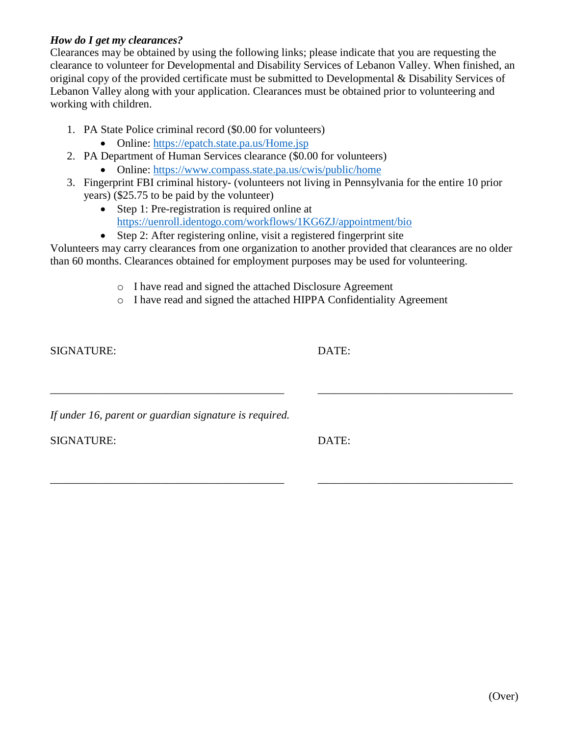## *How do I get my clearances?*

Clearances may be obtained by using the following links; please indicate that you are requesting the clearance to volunteer for Developmental and Disability Services of Lebanon Valley. When finished, an original copy of the provided certificate must be submitted to Developmental & Disability Services of Lebanon Valley along with your application. Clearances must be obtained prior to volunteering and working with children.

- 1. PA State Police criminal record (\$0.00 for volunteers)
	- Online:<https://epatch.state.pa.us/Home.jsp>
- 2. PA Department of Human Services clearance (\$0.00 for volunteers)
	- Online:<https://www.compass.state.pa.us/cwis/public/home>
- 3. Fingerprint FBI criminal history- (volunteers not living in Pennsylvania for the entire 10 prior years) (\$25.75 to be paid by the volunteer)
	- Step 1: Pre-registration is required online at <https://uenroll.identogo.com/workflows/1KG6ZJ/appointment/bio>
	- Step 2: After registering online, visit a registered fingerprint site

Volunteers may carry clearances from one organization to another provided that clearances are no older than 60 months. Clearances obtained for employment purposes may be used for volunteering.

- o I have read and signed the attached Disclosure Agreement
- o I have read and signed the attached HIPPA Confidentiality Agreement

\_\_\_\_\_\_\_\_\_\_\_\_\_\_\_\_\_\_\_\_\_\_\_\_\_\_\_\_\_\_\_\_\_\_\_\_\_\_\_\_\_\_ \_\_\_\_\_\_\_\_\_\_\_\_\_\_\_\_\_\_\_\_\_\_\_\_\_\_\_\_\_\_\_\_\_\_\_

\_\_\_\_\_\_\_\_\_\_\_\_\_\_\_\_\_\_\_\_\_\_\_\_\_\_\_\_\_\_\_\_\_\_\_\_\_\_\_\_\_\_ \_\_\_\_\_\_\_\_\_\_\_\_\_\_\_\_\_\_\_\_\_\_\_\_\_\_\_\_\_\_\_\_\_\_\_

SIGNATURE: DATE:

*If under 16, parent or guardian signature is required.*

SIGNATURE: DATE: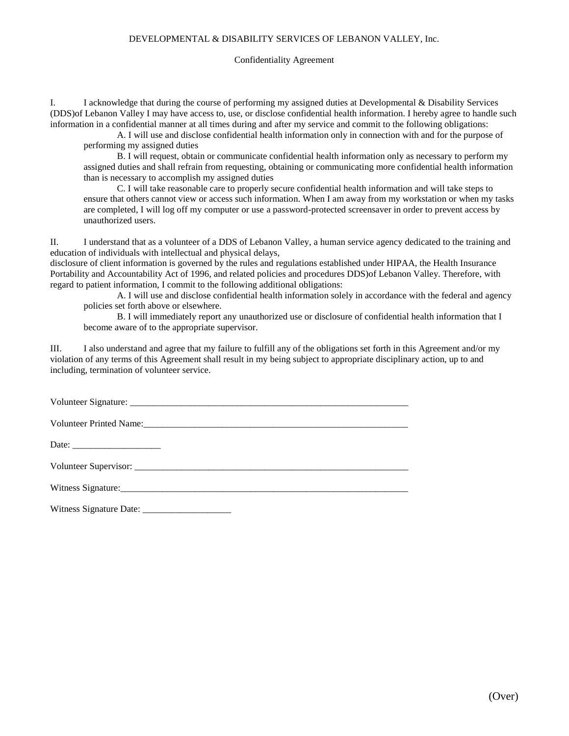### DEVELOPMENTAL & DISABILITY SERVICES OF LEBANON VALLEY, Inc.

#### Confidentiality Agreement

I. I acknowledge that during the course of performing my assigned duties at Developmental & Disability Services (DDS)of Lebanon Valley I may have access to, use, or disclose confidential health information. I hereby agree to handle such information in a confidential manner at all times during and after my service and commit to the following obligations:

A. I will use and disclose confidential health information only in connection with and for the purpose of performing my assigned duties

B. I will request, obtain or communicate confidential health information only as necessary to perform my assigned duties and shall refrain from requesting, obtaining or communicating more confidential health information than is necessary to accomplish my assigned duties

C. I will take reasonable care to properly secure confidential health information and will take steps to ensure that others cannot view or access such information. When I am away from my workstation or when my tasks are completed, I will log off my computer or use a password-protected screensaver in order to prevent access by unauthorized users.

II. I understand that as a volunteer of a DDS of Lebanon Valley, a human service agency dedicated to the training and education of individuals with intellectual and physical delays,

disclosure of client information is governed by the rules and regulations established under HIPAA, the Health Insurance Portability and Accountability Act of 1996, and related policies and procedures DDS)of Lebanon Valley. Therefore, with regard to patient information, I commit to the following additional obligations:

A. I will use and disclose confidential health information solely in accordance with the federal and agency policies set forth above or elsewhere.

B. I will immediately report any unauthorized use or disclosure of confidential health information that I become aware of to the appropriate supervisor.

III. I also understand and agree that my failure to fulfill any of the obligations set forth in this Agreement and/or my violation of any terms of this Agreement shall result in my being subject to appropriate disciplinary action, up to and including, termination of volunteer service.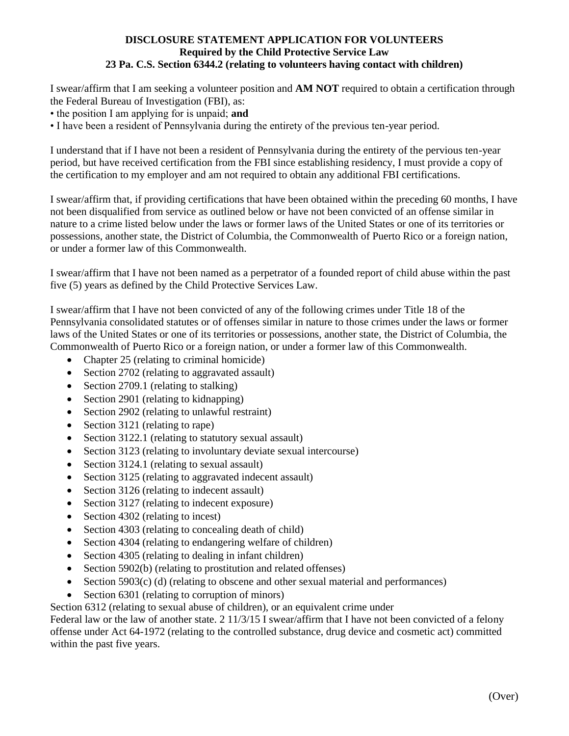### **DISCLOSURE STATEMENT APPLICATION FOR VOLUNTEERS Required by the Child Protective Service Law 23 Pa. C.S. Section 6344.2 (relating to volunteers having contact with children)**

I swear/affirm that I am seeking a volunteer position and **AM NOT** required to obtain a certification through the Federal Bureau of Investigation (FBI), as:

- the position I am applying for is unpaid; **and**
- I have been a resident of Pennsylvania during the entirety of the previous ten-year period.

I understand that if I have not been a resident of Pennsylvania during the entirety of the pervious ten-year period, but have received certification from the FBI since establishing residency, I must provide a copy of the certification to my employer and am not required to obtain any additional FBI certifications.

I swear/affirm that, if providing certifications that have been obtained within the preceding 60 months, I have not been disqualified from service as outlined below or have not been convicted of an offense similar in nature to a crime listed below under the laws or former laws of the United States or one of its territories or possessions, another state, the District of Columbia, the Commonwealth of Puerto Rico or a foreign nation, or under a former law of this Commonwealth.

I swear/affirm that I have not been named as a perpetrator of a founded report of child abuse within the past five (5) years as defined by the Child Protective Services Law.

I swear/affirm that I have not been convicted of any of the following crimes under Title 18 of the Pennsylvania consolidated statutes or of offenses similar in nature to those crimes under the laws or former laws of the United States or one of its territories or possessions, another state, the District of Columbia, the Commonwealth of Puerto Rico or a foreign nation, or under a former law of this Commonwealth.

- Chapter 25 (relating to criminal homicide)
- Section 2702 (relating to aggravated assault)
- Section 2709.1 (relating to stalking)
- Section 2901 (relating to kidnapping)
- Section 2902 (relating to unlawful restraint)
- Section 3121 (relating to rape)
- Section 3122.1 (relating to statutory sexual assault)
- Section 3123 (relating to involuntary deviate sexual intercourse)
- Section 3124.1 (relating to sexual assault)
- Section 3125 (relating to aggravated indecent assault)
- Section 3126 (relating to indecent assault)
- Section 3127 (relating to indecent exposure)
- Section 4302 (relating to incest)
- Section 4303 (relating to concealing death of child)
- Section 4304 (relating to endangering welfare of children)
- Section 4305 (relating to dealing in infant children)
- Section 5902(b) (relating to prostitution and related offenses)
- Section 5903(c) (d) (relating to obscene and other sexual material and performances)
- Section 6301 (relating to corruption of minors)

Section 6312 (relating to sexual abuse of children), or an equivalent crime under

Federal law or the law of another state. 2 11/3/15 I swear/affirm that I have not been convicted of a felony offense under Act 64-1972 (relating to the controlled substance, drug device and cosmetic act) committed within the past five years.